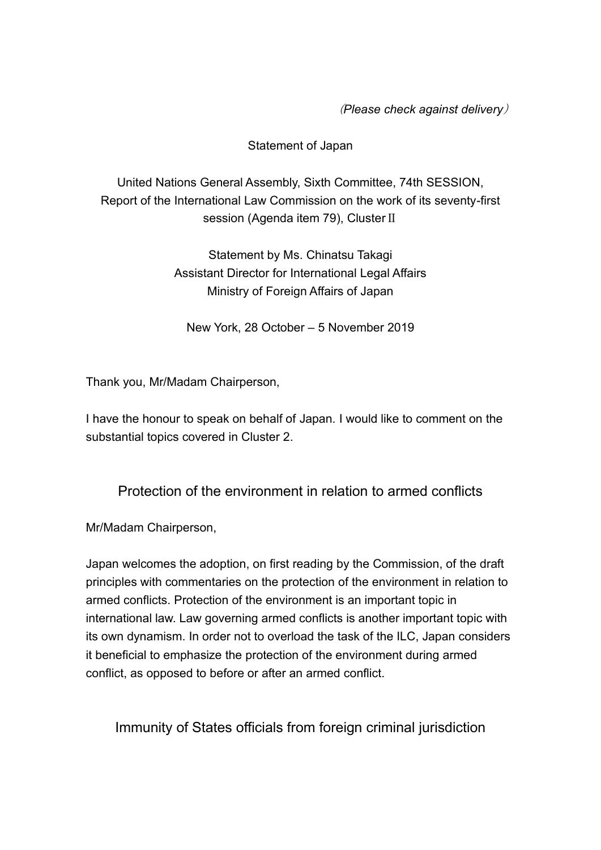(*Please check against delivery*)

## Statement of Japan

United Nations General Assembly, Sixth Committee, 74th SESSION, Report of the International Law Commission on the work of its seventy-first session (Agenda item 79), Cluster Ⅱ

> Statement by Ms. Chinatsu Takagi Assistant Director for International Legal Affairs Ministry of Foreign Affairs of Japan

New York, 28 October – 5 November 2019

Thank you, Mr/Madam Chairperson,

I have the honour to speak on behalf of Japan. I would like to comment on the substantial topics covered in Cluster 2.

Protection of the environment in relation to armed conflicts

Mr/Madam Chairperson,

Japan welcomes the adoption, on first reading by the Commission, of the draft principles with commentaries on the protection of the environment in relation to armed conflicts. Protection of the environment is an important topic in international law. Law governing armed conflicts is another important topic with its own dynamism. In order not to overload the task of the ILC, Japan considers it beneficial to emphasize the protection of the environment during armed conflict, as opposed to before or after an armed conflict.

Immunity of States officials from foreign criminal jurisdiction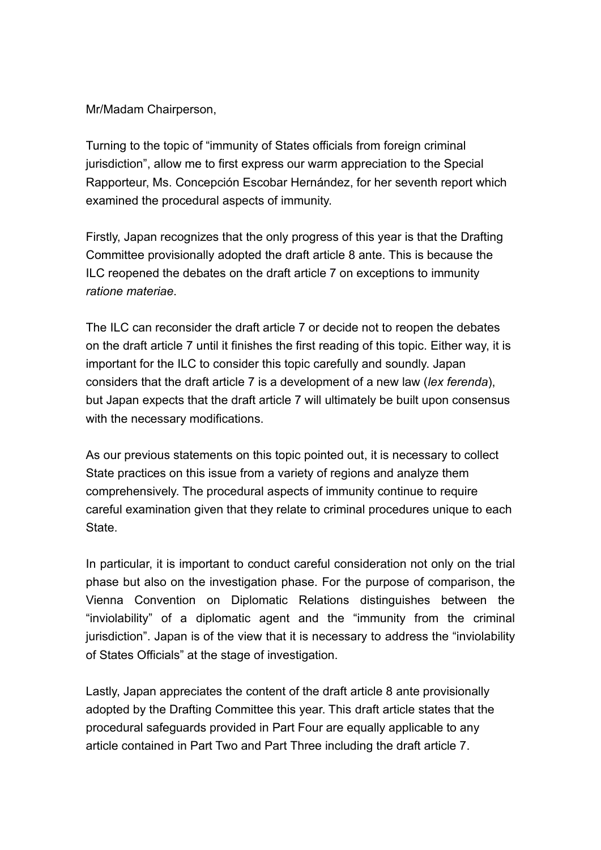## Mr/Madam Chairperson,

Turning to the topic of "immunity of States officials from foreign criminal jurisdiction", allow me to first express our warm appreciation to the Special Rapporteur, Ms. Concepción Escobar Hernández, for her seventh report which examined the procedural aspects of immunity.

Firstly, Japan recognizes that the only progress of this year is that the Drafting Committee provisionally adopted the draft article 8 ante. This is because the ILC reopened the debates on the draft article 7 on exceptions to immunity *ratione materiae*.

The ILC can reconsider the draft article 7 or decide not to reopen the debates on the draft article 7 until it finishes the first reading of this topic. Either way, it is important for the ILC to consider this topic carefully and soundly. Japan considers that the draft article 7 is a development of a new law (*lex ferenda*), but Japan expects that the draft article 7 will ultimately be built upon consensus with the necessary modifications.

As our previous statements on this topic pointed out, it is necessary to collect State practices on this issue from a variety of regions and analyze them comprehensively. The procedural aspects of immunity continue to require careful examination given that they relate to criminal procedures unique to each State.

In particular, it is important to conduct careful consideration not only on the trial phase but also on the investigation phase. For the purpose of comparison, the Vienna Convention on Diplomatic Relations distinguishes between the "inviolability" of a diplomatic agent and the "immunity from the criminal jurisdiction". Japan is of the view that it is necessary to address the "inviolability of States Officials" at the stage of investigation.

Lastly, Japan appreciates the content of the draft article 8 ante provisionally adopted by the Drafting Committee this year. This draft article states that the procedural safeguards provided in Part Four are equally applicable to any article contained in Part Two and Part Three including the draft article 7.